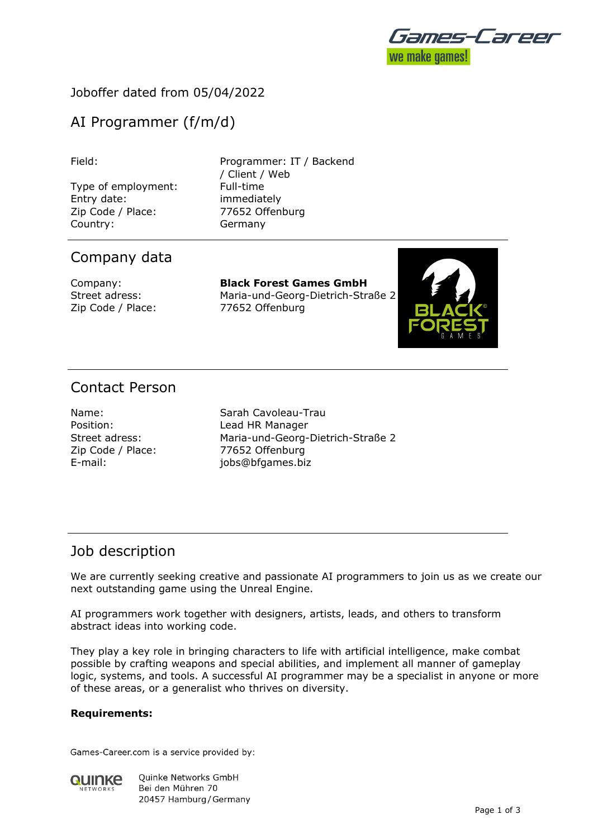

## Joboffer dated from 05/04/2022

# AI Programmer (f/m/d)

Type of employment: Full-time Entry date: immediately Zip Code / Place: 77652 Offenburg Country: Germany

Field: Programmer: IT / Backend / Client / Web

## Company data

Company: **Black Forest Games GmbH** Street adress: Maria-und-Georg-Dietrich-Straße 2 Zip Code / Place: 77652 Offenburg



# Contact Person

Zip Code / Place: 77652 Offenburg

Name: Sarah Cavoleau-Trau Position: Lead HR Manager Street adress: Maria-und-Georg-Dietrich-Straße 2 E-mail: jobs@bfgames.biz

## Job description

We are currently seeking creative and passionate AI programmers to join us as we create our next outstanding game using the Unreal Engine.

AI programmers work together with designers, artists, leads, and others to transform abstract ideas into working code.

They play a key role in bringing characters to life with artificial intelligence, make combat possible by crafting weapons and special abilities, and implement all manner of gameplay logic, systems, and tools. A successful AI programmer may be a specialist in anyone or more of these areas, or a generalist who thrives on diversity.

### **Requirements:**

Games-Career.com is a service provided by:

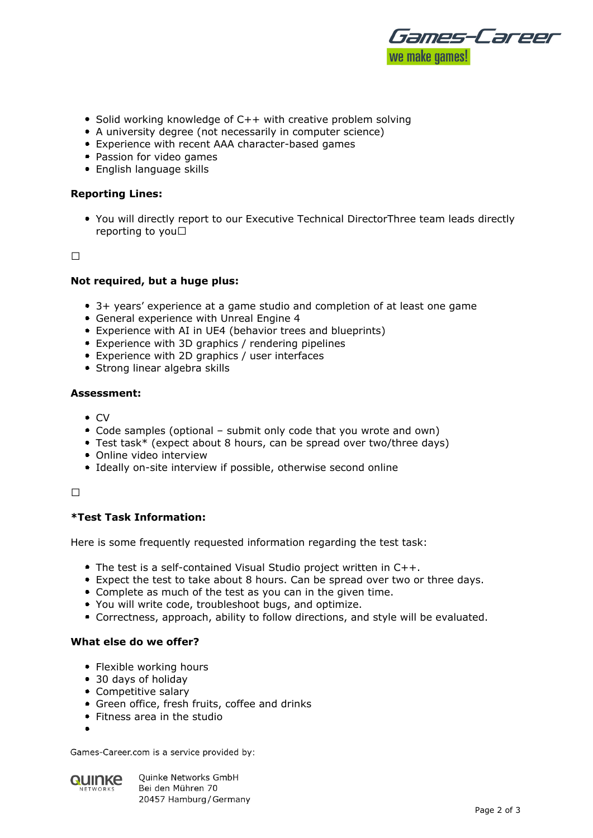

- Solid working knowledge of  $C++$  with creative problem solving
- A university degree (not necessarily in computer science)
- Experience with recent AAA character-based games
- Passion for video games
- English language skills

#### **Reporting Lines:**

You will directly report to our Executive Technical DirectorThree team leads directly reporting to you

 $\Box$ 

#### **Not required, but a huge plus:**

- 3+ years' experience at a game studio and completion of at least one game
- General experience with Unreal Engine 4
- Experience with AI in UE4 (behavior trees and blueprints)
- Experience with 3D graphics / rendering pipelines
- Experience with 2D graphics / user interfaces
- Strong linear algebra skills

#### **Assessment:**

- $\bullet$  CV
- Code samples (optional submit only code that you wrote and own)
- Test task\* (expect about 8 hours, can be spread over two/three days)
- Online video interview
- Ideally on-site interview if possible, otherwise second online

#### $\Box$

### **\*Test Task Information:**

Here is some frequently requested information regarding the test task:

- The test is a self-contained Visual Studio project written in C++.
- Expect the test to take about 8 hours. Can be spread over two or three days.
- Complete as much of the test as you can in the given time.
- You will write code, troubleshoot bugs, and optimize.
- Correctness, approach, ability to follow directions, and style will be evaluated.

#### **What else do we offer?**

- Flexible working hours
- 30 days of holiday
- Competitive salary
- Green office, fresh fruits, coffee and drinks
- Fitness area in the studio
- 

Games-Career.com is a service provided by:



**Ouinke Networks GmbH** Bei den Mühren 70 20457 Hamburg / Germany